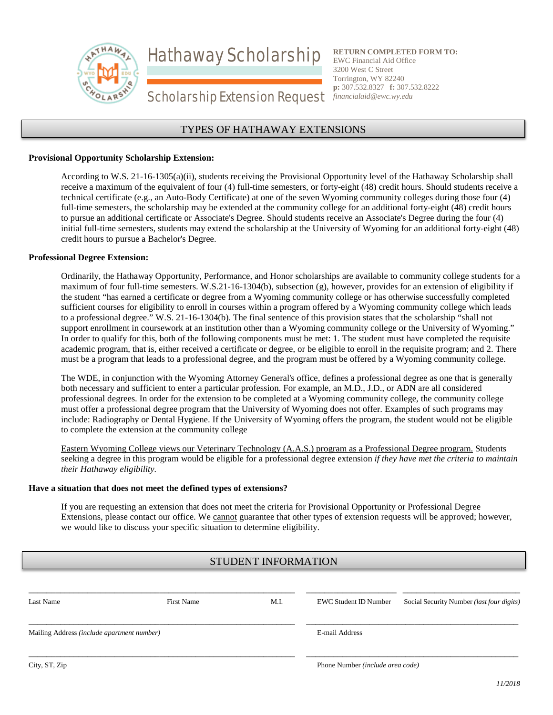Hathaway Scholarship



**RETURN COMPLETED FORM TO:** EWC Financial Aid Office 3200 West C Street Torrington, WY 82240 **p:** 307.532.8327 **f:** 307.532.8222 *financialaid@ewc.wy.edu*

# Scholarship Extension Request

### TYPES OF HATHAWAY EXTENSIONS

#### **Provisional Opportunity Scholarship Extension:**

According to W.S. 21-16-1305(a)(ii), students receiving the Provisional Opportunity level of the Hathaway Scholarship shall receive a maximum of the equivalent of four (4) full-time semesters, or forty-eight (48) credit hours. Should students receive a technical certificate (e.g., an Auto-Body Certificate) at one of the seven Wyoming community colleges during those four (4) full-time semesters, the scholarship may be extended at the community college for an additional forty-eight (48) credit hours to pursue an additional certificate or Associate's Degree. Should students receive an Associate's Degree during the four (4) initial full-time semesters, students may extend the scholarship at the University of Wyoming for an additional forty-eight (48) credit hours to pursue a Bachelor's Degree.

#### **Professional Degree Extension:**

Ordinarily, the Hathaway Opportunity, Performance, and Honor scholarships are available to community college students for a maximum of four full-time semesters. W.S.21-16-1304(b), subsection (g), however, provides for an extension of eligibility if the student "has earned a certificate or degree from a Wyoming community college or has otherwise successfully completed sufficient courses for eligibility to enroll in courses within a program offered by a Wyoming community college which leads to a professional degree." W.S. 21-16-1304(b). The final sentence of this provision states that the scholarship "shall not support enrollment in coursework at an institution other than a Wyoming community college or the University of Wyoming." In order to qualify for this, both of the following components must be met: 1. The student must have completed the requisite academic program, that is, either received a certificate or degree, or be eligible to enroll in the requisite program; and 2. There must be a program that leads to a professional degree, and the program must be offered by a Wyoming community college.

The WDE, in conjunction with the Wyoming Attorney General's office, defines a professional degree as one that is generally both necessary and sufficient to enter a particular profession. For example, an M.D., J.D., or ADN are all considered professional degrees. In order for the extension to be completed at a Wyoming community college, the community college must offer a professional degree program that the University of Wyoming does not offer. Examples of such programs may include: Radiography or Dental Hygiene. If the University of Wyoming offers the program, the student would not be eligible to complete the extension at the community college

Eastern Wyoming College views our Veterinary Technology (A.A.S.) program as a Professional Degree program. Students seeking a degree in this program would be eligible for a professional degree extension *if they have met the criteria to maintain their Hathaway eligibility.* 

#### **Have a situation that does not meet the defined types of extensions?**

If you are requesting an extension that does not meet the criteria for Provisional Opportunity or Professional Degree Extensions, please contact our office. We cannot guarantee that other types of extension requests will be approved; however, we would like to discuss your specific situation to determine eligibility.

## STUDENT INFORMATION

| Last Name                                  | <b>First Name</b> | M.I. | EWC Student ID Number            | Social Security Number <i>(last four digits)</i> |
|--------------------------------------------|-------------------|------|----------------------------------|--------------------------------------------------|
| Mailing Address (include apartment number) |                   |      | E-mail Address                   |                                                  |
| City, ST, Zip                              |                   |      | Phone Number (include area code) |                                                  |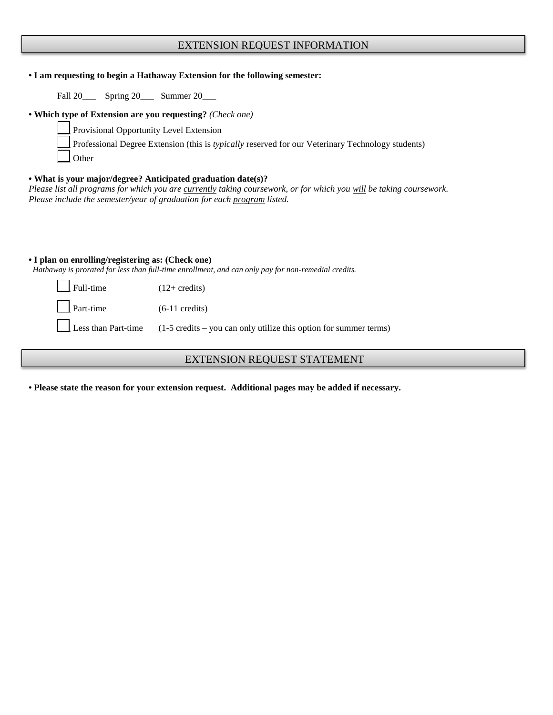### EXTENSION REQUEST INFORMATION

| • I am requesting to begin a Hathaway Extension for the following semester:                                                                                                                                                                                    |                                                                   |  |  |  |  |  |
|----------------------------------------------------------------------------------------------------------------------------------------------------------------------------------------------------------------------------------------------------------------|-------------------------------------------------------------------|--|--|--|--|--|
| Fall 20_______ Spring 20_______ Summer 20_____                                                                                                                                                                                                                 |                                                                   |  |  |  |  |  |
| • Which type of Extension are you requesting? (Check one)<br>Provisional Opportunity Level Extension<br>Professional Degree Extension (this is typically reserved for our Veterinary Technology students)<br>Other                                             |                                                                   |  |  |  |  |  |
| • What is your major/degree? Anticipated graduation date(s)?<br>Please list all programs for which you are currently taking coursework, or for which you will be taking coursework.<br>Please include the semester/year of graduation for each program listed. |                                                                   |  |  |  |  |  |
| • I plan on enrolling/registering as: (Check one)<br>Hathaway is prorated for less than full-time enrollment, and can only pay for non-remedial credits.                                                                                                       |                                                                   |  |  |  |  |  |
| Full-time                                                                                                                                                                                                                                                      | $(12 + \text{credits})$                                           |  |  |  |  |  |
| Part-time<br>$(6-11 \text{ credits})$                                                                                                                                                                                                                          |                                                                   |  |  |  |  |  |
| Less than Part-time                                                                                                                                                                                                                                            | (1-5 credits – you can only utilize this option for summer terms) |  |  |  |  |  |

# EXTENSION REQUEST STATEMENT

**• Please state the reason for your extension request. Additional pages may be added if necessary.**